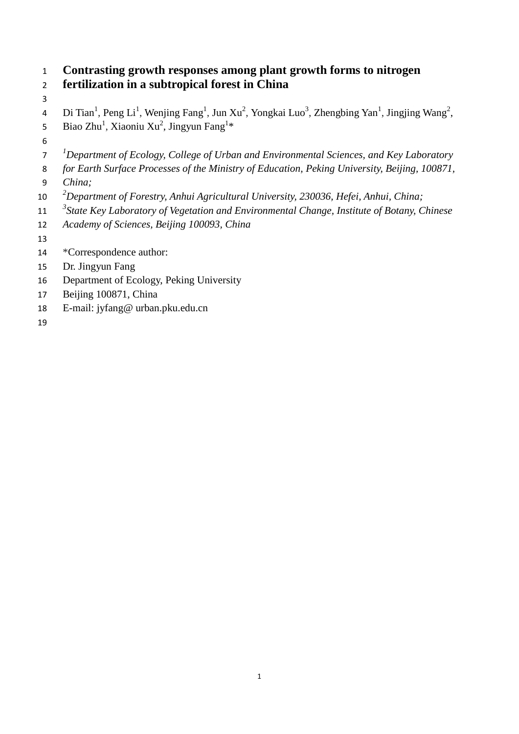# **Contrasting growth responses among plant growth forms to nitrogen fertilization in a subtropical forest in China**

4 Di Tian<sup>1</sup>, Peng Li<sup>1</sup>, Wenjing Fang<sup>1</sup>, Jun Xu<sup>2</sup>, Yongkai Luo<sup>3</sup>, Zhengbing Yan<sup>1</sup>, Jingjing Wang<sup>2</sup>, 5 Biao Zhu<sup>1</sup>, Xiaoniu Xu<sup>2</sup>, Jingyun Fang<sup>1\*</sup>

- 
- *1 Department of Ecology, College of Urban and Environmental Sciences, and Key Laboratory*
- *for Earth Surface Processes of the Ministry of Education, Peking University, Beijing, 100871,*
- *China;*
- *2 Department of Forestry, Anhui Agricultural University, 230036, Hefei, Anhui, China;*
- *3 State Key Laboratory of Vegetation and Environmental Change, Institute of Botany, Chinese*
- *Academy of Sciences, Beijing 100093, China*
- 
- \*Correspondence author:
- Dr. Jingyun Fang
- Department of Ecology, Peking University
- Beijing 100871, China
- E-mail: [jyfang@ urban.pku.edu.cn](mailto:jyfang@urban.pku.edu.cn)
-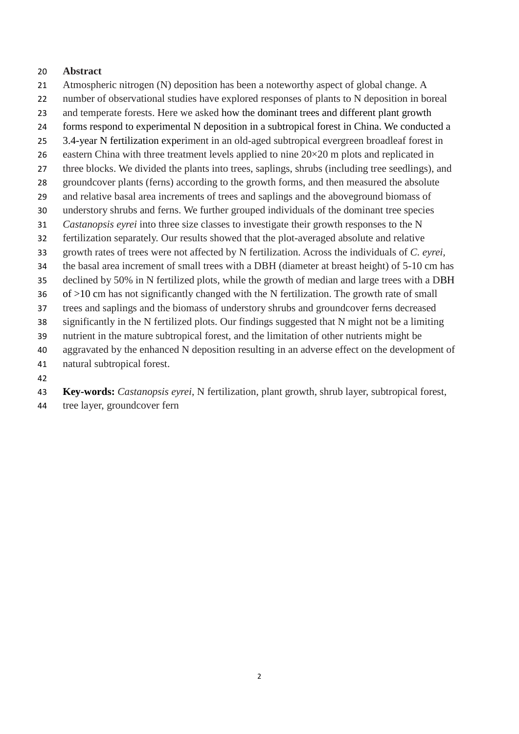## **Abstract**

- Atmospheric nitrogen (N) deposition has been a noteworthy aspect of global change. A number of observational studies have explored responses of plants to N deposition in boreal
- and temperate forests. Here we asked how the dominant trees and different plant growth
- forms respond to experimental N deposition in a subtropical forest in China. We conducted a
- 3.4-year N fertilization experiment in an old-aged subtropical evergreen broadleaf forest in
- 26 eastern China with three treatment levels applied to nine  $20 \times 20$  m plots and replicated in
- three blocks. We divided the plants into trees, saplings, shrubs (including tree seedlings), and
- groundcover plants (ferns) according to the growth forms, and then measured the absolute
- and relative basal area increments of trees and saplings and the aboveground biomass of
- understory shrubs and ferns. We further grouped individuals of the dominant tree species
- *Castanopsis eyrei* into three size classes to investigate their growth responses to the N
- fertilization separately. Our results showed that the plot-averaged absolute and relative
- growth rates of trees were not affected by N fertilization. Across the individuals of *C. eyrei,*
- the basal area increment of small trees with a DBH (diameter at breast height) of 5-10 cm has
- declined by 50% in N fertilized plots, while the growth of median and large trees with a DBH of >10 cm has not significantly changed with the N fertilization. The growth rate of small
- trees and saplings and the biomass of understory shrubs and groundcover ferns decreased
- significantly in the N fertilized plots. Our findings suggested that N might not be a limiting
- nutrient in the mature subtropical forest, and the limitation of other nutrients might be
- aggravated by the enhanced N deposition resulting in an adverse effect on the development of
- natural subtropical forest.
- 
- **Key-words:** *Castanopsis eyrei*, N fertilization, plant growth, shrub layer, subtropical forest,
- tree layer, groundcover fern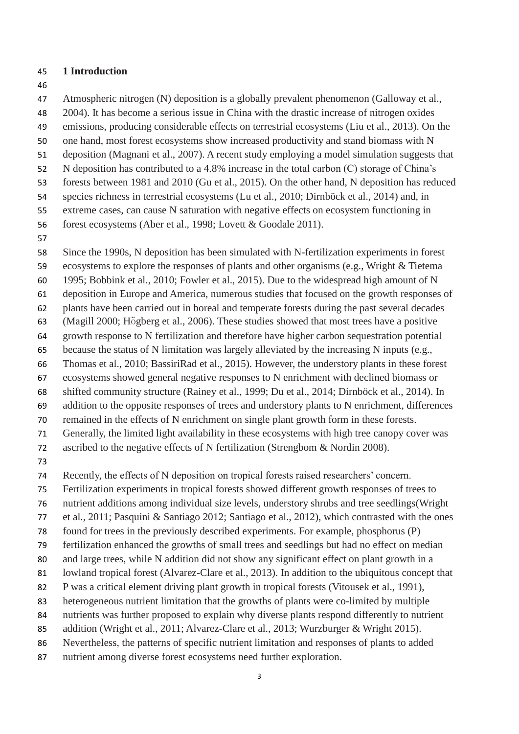### **1 Introduction**

Atmospheric nitrogen (N) deposition is a globally prevalent phenomenon (Galloway et al.,

2004). It has become a serious issue in China with the drastic increase of nitrogen oxides

- emissions, producing considerable effects on terrestrial ecosystems (Liu et al., 2013). On the
- one hand, most forest ecosystems show increased productivity and stand biomass with N
- deposition (Magnani et al., 2007). A recent study employing a model simulation suggests that
- N deposition has contributed to a 4.8% increase in the total carbon (C) storage of China's
- forests between 1981 and 2010 (Gu et al., 2015). On the other hand, N deposition has reduced
- species richness in terrestrial ecosystems (Lu et al., 2010; Dirnböck et al., 2014) and, in
- extreme cases, can cause N saturation with negative effects on ecosystem functioning in
- forest ecosystems (Aber et al., 1998; Lovett & Goodale 2011).
- 

 Since the 1990s, N deposition has been simulated with N-fertilization experiments in forest ecosystems to explore the responses of plants and other organisms (e.g., Wright & Tietema

1995; Bobbink et al., 2010; Fowler et al., 2015). Due to the widespread high amount of N

deposition in Europe and America, numerous studies that focused on the growth responses of

- plants have been carried out in boreal and temperate forests during the past several decades
- (Magill 2000; Högberg et al., 2006). These studies showed that most trees have a positive
- growth response to N fertilization and therefore have higher carbon sequestration potential

because the status of N limitation was largely alleviated by the increasing N inputs (e.g.,

- Thomas et al., 2010; BassiriRad et al., 2015). However, the understory plants in these forest
- ecosystems showed general negative responses to N enrichment with declined biomass or

shifted community structure (Rainey et al., 1999; Du et al., 2014; Dirnböck et al., 2014). In

addition to the opposite responses of trees and understory plants to N enrichment, differences

remained in the effects of N enrichment on single plant growth form in these forests.

Generally, the limited light availability in these ecosystems with high tree canopy cover was

ascribed to the negative effects of N fertilization (Strengbom & Nordin 2008).

Recently, the effects of N deposition on tropical forests raised researchers' concern.

Fertilization experiments in tropical forests showed different growth responses of trees to

nutrient additions among individual size levels, understory shrubs and tree seedlings(Wright

et al., 2011; Pasquini & Santiago 2012; Santiago et al., 2012), which contrasted with the ones

found for trees in the previously described experiments. For example, phosphorus (P)

- fertilization enhanced the growths of small trees and seedlings but had no effect on median
- and large trees, while N addition did not show any significant effect on plant growth in a

81 lowland tropical forest (Alvarez-Clare et al., 2013). In addition to the ubiquitous concept that

- P was a critical element driving plant growth in tropical forests (Vitousek et al., 1991),
- heterogeneous nutrient limitation that the growths of plants were co-limited by multiple
- nutrients was further proposed to explain why diverse plants respond differently to nutrient
- addition (Wright et al., 2011; Alvarez-Clare et al., 2013; Wurzburger & Wright 2015).
- Nevertheless, the patterns of specific nutrient limitation and responses of plants to added
- nutrient among diverse forest ecosystems need further exploration.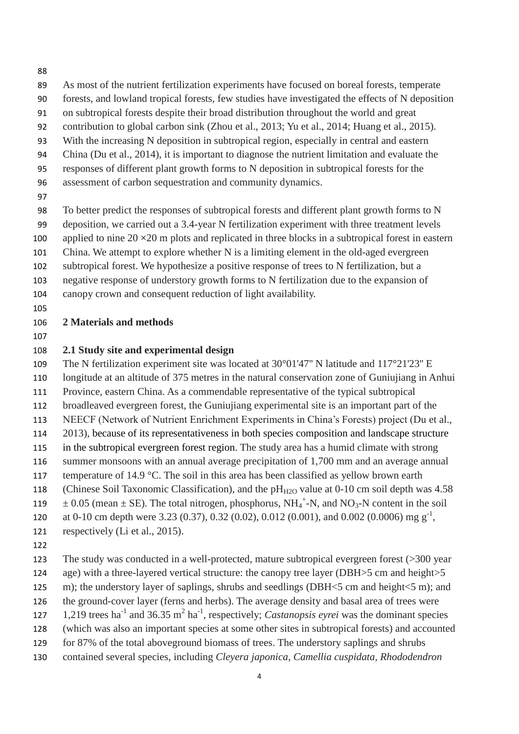- As most of the nutrient fertilization experiments have focused on boreal forests, temperate
- forests, and lowland tropical forests, few studies have investigated the effects of N deposition
- on subtropical forests despite their broad distribution throughout the world and great
- contribution to global carbon sink (Zhou et al., 2013; Yu et al., 2014; Huang et al., 2015).
- With the increasing N deposition in subtropical region, especially in central and eastern
- China (Du et al., 2014), it is important to diagnose the nutrient limitation and evaluate the
- responses of different plant growth forms to N deposition in subtropical forests for the
- assessment of carbon sequestration and community dynamics.
- 

 To better predict the responses of subtropical forests and different plant growth forms to N deposition, we carried out a 3.4-year N fertilization experiment with three treatment levels

- 100 applied to nine 20  $\times$  20 m plots and replicated in three blocks in a subtropical forest in eastern
- China. We attempt to explore whether N is a limiting element in the old-aged evergreen
- subtropical forest. We hypothesize a positive response of trees to N fertilization, but a
- negative response of understory growth forms to N fertilization due to the expansion of
- canopy crown and consequent reduction of light availability.
- 

## **2 Materials and methods**

## **2.1 Study site and experimental design**

 The N fertilization experiment site was located at 30°01'47'' N latitude and 117°21'23'' E longitude at an altitude of 375 metres in the natural conservation zone of Guniujiang in Anhui Province, eastern China. As a commendable representative of the typical subtropical broadleaved evergreen forest, the Guniujiang experimental site is an important part of the NEECF (Network of Nutrient Enrichment Experiments in China's Forests) project (Du et al., 2013), because of its representativeness in both species composition and landscape structure in the subtropical evergreen forest region. The study area has a humid climate with strong summer monsoons with an annual average precipitation of 1,700 mm and an average annual 117 temperature of 14.9 °C. The soil in this area has been classified as yellow brown earth 118 (Chinese Soil Taxonomic Classification), and the  $pH_{H2O}$  value at 0-10 cm soil depth was 4.58  $\pm 0.05$  (mean  $\pm$  SE). The total nitrogen, phosphorus, NH<sub>4</sub><sup>+</sup>-N, and NO<sub>3</sub>-N content in the soil 120 at 0-10 cm depth were 3.23 (0.37), 0.32 (0.02), 0.012 (0.001), and 0.002 (0.0006) mg  $g^{-1}$ ,

- respectively (Li et al., 2015).
- 

 The study was conducted in a well-protected, mature subtropical evergreen forest (>300 year age) with a three-layered vertical structure: the canopy tree layer (DBH>5 cm and height>5 125 m); the understory layer of saplings, shrubs and seedlings (DBH<5 cm and height<5 m); and

- the ground-cover layer (ferns and herbs). The average density and basal area of trees were
- 127 1,219 trees ha<sup>-1</sup> and 36.35 m<sup>2</sup> ha<sup>-1</sup>, respectively; *Castanopsis eyrei* was the dominant species (which was also an important species at some other sites in subtropical forests) and accounted
- for 87% of the total aboveground biomass of trees. The understory saplings and shrubs
- contained several species, including *Cleyera japonica, Camellia cuspidata, Rhododendron*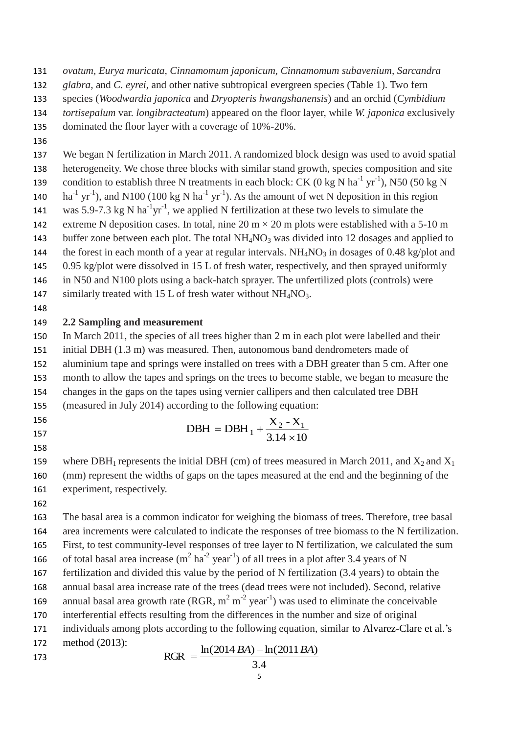- *ovatum, Eurya muricata, Cinnamomum japonicum, Cinnamomum subavenium, Sarcandra*
- *glabra,* and *C. eyrei*, and other native subtropical evergreen species (Table 1). Two fern
- species (*Woodwardia japonica* and *Dryopteris hwangshanensis*) and an orchid (*Cymbidium*
- *tortisepalum* var. *longibracteatum*) appeared on the floor layer, while *W. japonica* exclusively
- dominated the floor layer with a coverage of 10%-20%.
- 

 We began N fertilization in March 2011. A randomized block design was used to avoid spatial heterogeneity. We chose three blocks with similar stand growth, species composition and site 139 condition to establish three N treatments in each block: CK (0 kg N ha<sup>-1</sup> yr<sup>-1</sup>), N50 (50 kg N 140 ha<sup>-1</sup> yr<sup>-1</sup>), and N100 (100 kg N ha<sup>-1</sup> yr<sup>-1</sup>). As the amount of wet N deposition in this region 141 was 5.9-7.3 kg N ha<sup>-1</sup>yr<sup>-1</sup>, we applied N fertilization at these two levels to simulate the 142 extreme N deposition cases. In total, nine 20 m  $\times$  20 m plots were established with a 5-10 m 143 buffer zone between each plot. The total  $NH<sub>4</sub>NO<sub>3</sub>$  was divided into 12 dosages and applied to 144 the forest in each month of a year [at](javascript:void(0);) [regular](javascript:void(0);) [intervals.](javascript:void(0);)  $NH<sub>4</sub>NO<sub>3</sub>$  in dosages of 0.48 kg/plot and 0.95 kg/plot were dissolved in 15 L of fresh water, respectively, and then sprayed uniformly in N50 and N100 plots using a back-hatch sprayer. The unfertilized plots (controls) were 147 similarly treated with 15 L of fresh water without  $NH<sub>4</sub>NO<sub>3</sub>$ .

## **2.2 Sampling and measurement**

 In March 2011, the species of all trees higher than 2 m in each plot were labelled and their initial DBH (1.3 m) was measured. Then, autonomous band dendrometers made of aluminium tape and springs were installed on trees with a DBH greater than 5 cm. After one month to allow the tapes and springs on the trees to become stable, we began to measure the changes in the gaps on the tapes using vernier callipers and then calculated tree DBH (measured in July 2014) according to the following equation:

 

 $3.14 \times 10$  $DBH = DBH_1 + \frac{X_2 - X_1}{3.14 \times 10}$ 

159 where DBH<sub>1</sub> represents the initial DBH (cm) of trees measured in March 2011, and  $X_2$  and  $X_1$  (mm) represent the widths of gaps on the tapes measured at the end and the beginning of the experiment, respectively.

 The basal area is a common indicator for weighing the biomass of trees. Therefore, tree basal area increments were calculated to indicate the responses of tree biomass to the N fertilization. First, to test community-level responses of tree layer to N fertilization, we calculated the sum 166 of total basal area increase  $(m^2 \text{ ha}^{-2} \text{ year}^{-1})$  of all trees in a plot after 3.4 years of N fertilization and divided this value by the period of N fertilization (3.4 years) to obtain the annual basal area increase rate of the trees (dead trees were not included). Second, relative 169 annual basal area growth rate (RGR,  $m^2 m^{-2}$  year<sup>-1</sup>) was used to eliminate the conceivable interferential effects resulting from the differences in the number and size of original individuals among plots according to the following equation, similar to Alvarez-Clare et al.'s

 method (2013):  $RGR = \frac{\ln(2014 BA) - \ln(2011 BA)}{84}$ 

$$
3.4\,
$$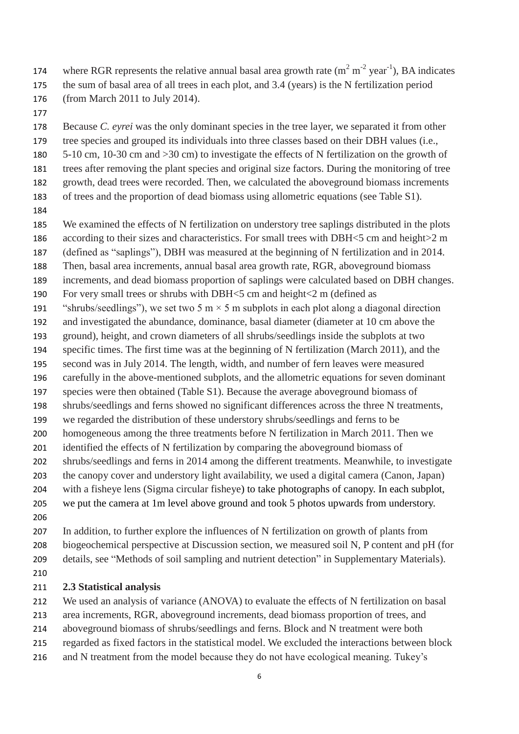- 174 where RGR represents the relative annual basal area growth rate  $(m^2 m^2 year^{-1})$ , BA indicates
- the sum of basal area of all trees in each plot, and 3.4 (years) is the N fertilization period (from March 2011 to July 2014).
- 

 Because *C. eyrei* was the only dominant species in the tree layer, we separated it from other tree species and grouped its individuals into three classes based on their DBH values (i.e.,

- 5-10 cm, 10-30 cm and >30 cm) to investigate the effects of N fertilization on the growth of
- 
- trees after removing the plant species and original size factors. During the monitoring of tree
- growth, dead trees were recorded. Then, we calculated the aboveground biomass increments of trees and the proportion of dead biomass using allometric equations (see Table S1).
- 
- We examined the effects of N fertilization on understory tree saplings distributed in the plots
- 186 according to their sizes and characteristics. For small trees with DBH<5 cm and height>2 m
- (defined as "saplings"), DBH was measured at the beginning of N fertilization and in 2014.
- Then, basal area increments, annual basal area growth rate, RGR, aboveground biomass
- increments, and dead biomass proportion of saplings were calculated based on DBH changes.
- For very small trees or shrubs with DBH<5 cm and height<2 m (defined as
- 191 "shrubs/seedlings"), we set two 5 m  $\times$  5 m subplots in each plot along a diagonal direction
- and investigated the abundance, dominance, basal diameter (diameter at 10 cm above the
- ground), height, and crown diameters of all shrubs/seedlings inside the subplots at two
- specific times. The first time was at the beginning of N fertilization (March 2011), and the
- second was in July 2014. The length, width, and number of fern leaves were measured
- carefully in the above-mentioned subplots, and the allometric equations for seven dominant species were then obtained (Table S1). Because the average aboveground biomass of
- shrubs/seedlings and ferns showed no significant differences across the three N treatments,
- we regarded the distribution of these understory shrubs/seedlings and ferns to be
- homogeneous among the three treatments before N fertilization in March 2011. Then we
- identified the effects of N fertilization by comparing the aboveground biomass of
- shrubs/seedlings and ferns in 2014 among the different treatments. Meanwhile, to investigate
- the canopy cover and understory light availability, we used a digital camera (Canon, Japan)
- with a fisheye lens (Sigma circular fisheye) to take photographs of canopy. In each subplot,
- we put the camera at 1m level above ground and took 5 photos upwards from understory.
- 
- In addition, to further explore the influences of N fertilization on growth of plants from biogeochemical perspective at Discussion section, we measured soil N, P content and pH (for details, see "Methods of soil sampling and nutrient detection" in Supplementary Materials).
- 

## **2.3 Statistical analysis**

- We used an analysis of variance (ANOVA) to evaluate the effects of N fertilization on basal
- area increments, RGR, aboveground increments, dead biomass proportion of trees, and
- aboveground biomass of shrubs/seedlings and ferns. Block and N treatment were both
- regarded as fixed factors in the statistical model. We excluded the interactions between block
- and N treatment from the model because they do not have ecological meaning. Tukey's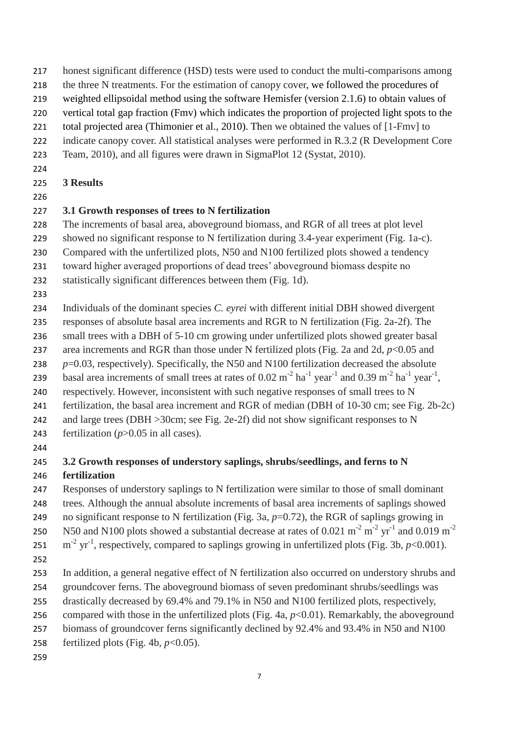- honest significant difference (HSD) tests were used to conduct the multi-comparisons among
- the three N treatments. For the estimation of canopy cover, we followed the procedures of
- weighted ellipsoidal method using the software Hemisfer (version 2.1.6) to obtain values of
- vertical total gap fraction (Fmv) which indicates the proportion of projected light spots to the
- total projected area (Thimonier et al., 2010). Then we obtained the values of [1-Fmv] to
- indicate canopy cover. All statistical analyses were performed in R.3.2 (R Development Core
- Team, 2010), and all figures were drawn in SigmaPlot 12 (Systat, 2010).
- 
- **3 Results**
- 

# **3.1 Growth responses of trees to N fertilization**

- The increments of basal area, aboveground biomass, and RGR of all trees at plot level
- showed no significant response to N fertilization during 3.4-year experiment (Fig. 1a-c).
- Compared with the unfertilized plots, N50 and N100 fertilized plots showed a tendency
- toward higher averaged proportions of dead trees' aboveground biomass despite no
- statistically significant differences between them (Fig. 1d).
- 
- Individuals of the dominant species *C. eyrei* with different initial DBH showed divergent
- responses of absolute basal area increments and RGR to N fertilization (Fig. 2a-2f). The
- small trees with a DBH of 5-10 cm growing under unfertilized plots showed greater basal
- area increments and RGR than those under N fertilized plots (Fig. 2a and 2d, *p*<0.05 and
- *p*=0.03, respectively). Specifically, the N50 and N100 fertilization decreased the absolute
- 239 basal area increments of small trees at rates of  $0.02 \text{ m}^{-2} \text{ ha}^{-1} \text{ year}^{-1}$  and  $0.39 \text{ m}^{-2} \text{ ha}^{-1} \text{ year}^{-1}$ ,
- respectively. However, inconsistent with such negative responses of small trees to N
- fertilization, the basal area increment and RGR of median (DBH of 10-30 cm; see Fig. 2b-2c)
- 242 and large trees (DBH > 30cm; see Fig. 2e-2f) did not show significant responses to N
- 243 fertilization  $(p>0.05$  in all cases).
- 

# **3.2 Growth responses of understory saplings, shrubs/seedlings, and ferns to N fertilization**

- Responses of understory saplings to N fertilization were similar to those of small dominant trees*.* Although the annual absolute increments of basal area increments of saplings showed
- no significant response to N fertilization (Fig. 3a, *p*=0.72), the RGR of saplings growing in
- N50 and N100 plots showed a substantial decrease at rates of 0.021 m<sup>-2</sup> m<sup>-2</sup> yr<sup>-1</sup> and 0.019 m<sup>-2</sup>
- 251  $\text{m}^2$  yr<sup>-1</sup>, respectively, compared to saplings growing in unfertilized plots (Fig. 3b, *p*<0.001).
- 
- In addition, a general negative effect of N fertilization also occurred on understory shrubs and
- groundcover ferns. The aboveground biomass of seven predominant shrubs/seedlings was
- drastically decreased by 69.4% and 79.1% in N50 and N100 fertilized plots, respectively,
- compared with those in the unfertilized plots (Fig. 4a, *p*<0.01). Remarkably, the aboveground
- biomass of groundcover ferns significantly declined by 92.4% and 93.4% in N50 and N100
- 258 fertilized plots (Fig. 4b,  $p<0.05$ ).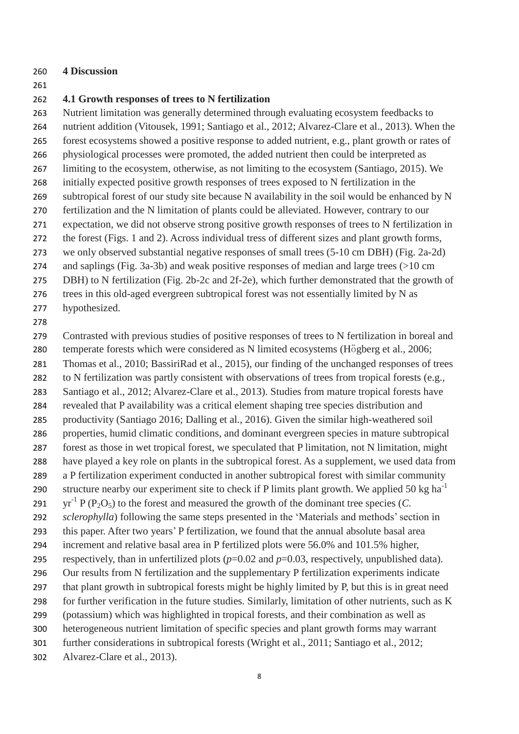#### **4 Discussion**

#### **4.1 Growth responses of trees to N fertilization**

 Nutrient limitation was generally determined through evaluating ecosystem feedbacks to nutrient addition (Vitousek, 1991; Santiago et al., 2012; Alvarez-Clare et al., 2013). When the forest ecosystems showed a positive response to added nutrient, e.g., plant growth or rates of physiological processes were promoted, the added nutrient then could be interpreted as limiting to the ecosystem, otherwise, as not limiting to the ecosystem (Santiago, 2015). We initially expected positive growth responses of trees exposed to N fertilization in the subtropical forest of our study site because N availability in the soil would be enhanced by N fertilization and the N limitation of plants could be alleviated. However, contrary to our expectation, we did not observe strong positive growth responses of trees to N fertilization in the forest (Figs. 1 and 2). Across individual tress of different sizes and plant growth forms, we only observed substantial negative responses of small trees (5-10 cm DBH) (Fig. 2a-2d) and saplings (Fig. 3a-3b) and weak positive responses of median and large trees (>10 cm DBH) to N fertilization (Fig. 2b-2c and 2f-2e), which further demonstrated that the growth of trees in this old-aged evergreen subtropical forest was not essentially limited by N as

hypothesized.

#### 

 Contrasted with previous studies of positive responses of trees to N fertilization in boreal and temperate forests which were considered as N limited ecosystems (Högberg et al., 2006; Thomas et al., 2010; BassiriRad et al., 2015), our finding of the unchanged responses of trees to N fertilization was partly consistent with observations of trees from tropical forests (e.g., Santiago et al., 2012; Alvarez-Clare et al., 2013). Studies from mature tropical forests have

- revealed that P availability was a critical element shaping tree species distribution and productivity (Santiago 2016; Dalling et al., 2016). Given the similar high-weathered soil
- properties, humid climatic conditions, and dominant evergreen species in mature subtropical forest as those in wet tropical forest, we [speculated](javascript:void(0);) that P limitation, not N limitation, might
- have played a key role on plants in the subtropical forest. As a supplement, we used data from
- a P fertilization experiment conducted in another subtropical forest with similar community
- structure nearby our experiment site to check if P limits plant growth. We applied 50 kg ha<sup>-1</sup> 291 yr<sup>-1</sup> P (P<sub>2</sub>O<sub>5</sub>) to the forest and measured the growth of the dominant tree species (*C*.
- *sclerophylla*) following the same steps presented in the 'Materials and methods' section in
- this paper. After two years' P fertilization, we found that the annual absolute basal area
- increment and relative basal area in P fertilized plots were 56.0% and 101.5% higher, respectively, than in unfertilized plots (*p*=0.02 and *p*=0.03, respectively, unpublished data).
- Our results from N fertilization and the supplementary P fertilization experiments indicate
- that plant growth in subtropical forests might be highly limited by P, but this is in great need
- for further verification in the future studies. Similarly, limitation of other nutrients, such as K
- (potassium) which was highlighted in tropical forests, and their combination as well as
- heterogeneous nutrient limitation of specific species and plant growth forms may warrant
- further considerations in subtropical forests (Wright et al., 2011; Santiago et al., 2012;
- Alvarez-Clare et al., 2013).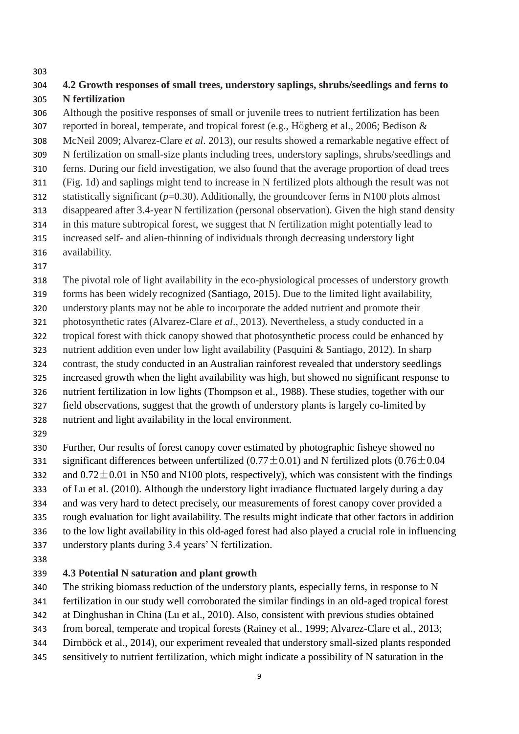## **4.2 Growth responses of small trees, understory saplings, shrubs/seedlings and ferns to N fertilization**

 Although the positive responses of small or juvenile trees to nutrient fertilization has been reported in boreal, temperate, and tropical forest (e.g., Högberg et al., 2006; Bedison & McNeil 2009; Alvarez-Clare *et al*. 2013), our results showed a remarkable negative effect of N fertilization on small-size plants including trees, understory saplings, shrubs/seedlings and ferns. During our field investigation, we also found that the average proportion of dead trees (Fig. 1d) and saplings might tend to increase in N fertilized plots although the result was not statistically significant (*p*=0.30). Additionally, the groundcover ferns in N100 plots almost disappeared after 3.4-year N fertilization (personal observation). Given the high stand density in this mature subtropical forest, we suggest that N fertilization might potentially lead to increased self- and alien-thinning of individuals through decreasing understory light

- availability.
- 

The pivotal role of light availability in the eco-physiological processes of understory growth

forms has been widely recognized (Santiago, 2015). Due to the limited light availability,

 understory plants may not be able to incorporate the added nutrient and promote their photosynthetic rates (Alvarez-Clare *et al*., 2013). Nevertheless, a study conducted in a

tropical forest with thick canopy showed that photosynthetic process could be enhanced by

nutrient addition even under low light availability (Pasquini & Santiago, 2012). In sharp

contrast, the study conducted in an Australian rainforest revealed that understory seedlings

increased growth when the light availability was high, but showed no significant response to

nutrient fertilization in low lights (Thompson et al., 1988). These studies, together with our

field observations, suggest that the growth of understory plants is largely co-limited by

- nutrient and light availability in the local environment.
- 

 Further, Our results of forest canopy cover estimated by photographic fisheye showed no 331 significant differences between unfertilized (0.77 $\pm$ 0.01) and N fertilized plots (0.76 $\pm$ 0.04 332 and  $0.72 \pm 0.01$  in N50 and N100 plots, respectively), which was consistent with the findings of Lu et al. (2010). Although the understory light irradiance fluctuated largely during a day

 and was very hard to detect precisely, our measurements of forest canopy cover provided a rough evaluation for light availability. The results might indicate that other factors in addition to the low light availability in this old-aged forest had also played a crucial role in influencing understory plants during 3.4 years' N fertilization.

## **4.3 Potential N saturation and plant growth**

340 The striking biomass reduction of the understory plants, especially ferns, in response to N

fertilization in our study well corroborated the similar findings in an old-aged tropical forest

at Dinghushan in China (Lu et al., 2010). Also, consistent with previous studies obtained

from boreal, temperate and tropical forests (Rainey et al., 1999; Alvarez-Clare et al., 2013;

Dirnböck et al., 2014), our experiment revealed that understory small-sized plants responded

sensitively to nutrient fertilization, which might indicate a possibility of N saturation in the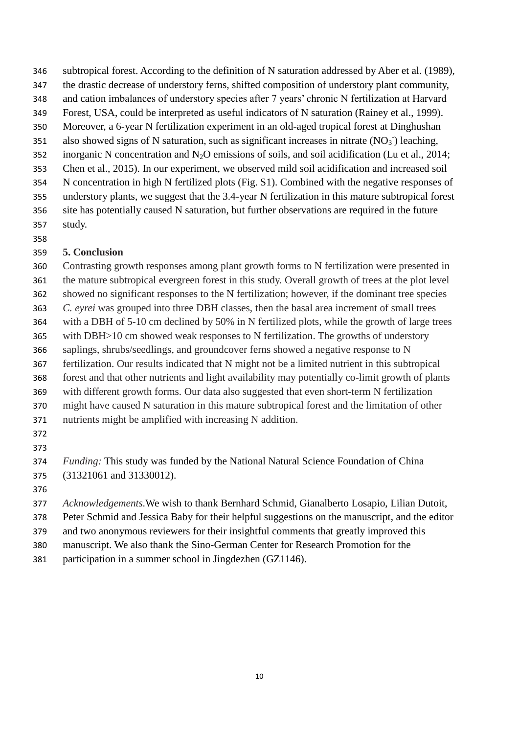- subtropical forest. According to the definition of N saturation addressed by Aber et al. (1989),
- the drastic decrease of understory ferns, shifted composition of understory plant community,
- and cation imbalances of understory species after 7 years' chronic N fertilization at Harvard
- Forest, USA, could be interpreted as useful indicators of N saturation (Rainey et al., 1999).
- Moreover, a 6-year N fertilization experiment in an old-aged tropical forest at Dinghushan
- 351 also showed signs of N saturation, such as significant increases in nitrate  $(NO<sub>3</sub>$ <sup>-</sup>) leaching, 352 inorganic N concentration and  $N_2O$  emissions of soils, and soil acidification (Lu et al., 2014;
- Chen et al., 2015). In our experiment, we observed mild soil acidification and increased soil
- N concentration in high N fertilized plots (Fig. S1). Combined with the negative responses of
- understory plants, we suggest that the 3.4-year N fertilization in this mature subtropical forest site has potentially caused N saturation, but further observations are required in the future study.
- 

# **5. Conclusion**

 Contrasting growth responses among plant growth forms to N fertilization were presented in the mature subtropical evergreen forest in this study. Overall growth of trees at the plot level showed no significant responses to the N fertilization; however, if the dominant tree species *C. eyrei* was grouped into three DBH classes, then the basal area increment of small trees with a DBH of 5-10 cm declined by 50% in N fertilized plots, while the growth of large trees with DBH>10 cm showed weak responses to N fertilization. The growths of understory saplings, shrubs/seedlings, and groundcover ferns showed a negative response to N fertilization. Our results indicated that N might not be a limited nutrient in this subtropical forest and that other nutrients and light availability may potentially co-limit growth of plants with different growth forms. Our data also suggested that even short-term N fertilization might have caused N saturation in this mature subtropical forest and the limitation of other nutrients might be amplified with increasing N addition.

- 
- *Funding:* This study was funded by the National Natural Science Foundation of China (31321061 and 31330012).
- 

*Acknowledgements.*We wish to thank Bernhard Schmid, Gianalberto Losapio, Lilian Dutoit,

- Peter Schmid and Jessica Baby for their helpful suggestions on the manuscript, and the editor
- and two anonymous reviewers for their insightful comments that greatly improved this
- manuscript. We also thank the Sino-German Center for Research Promotion for the
- participation in a summer school in Jingdezhen (GZ1146).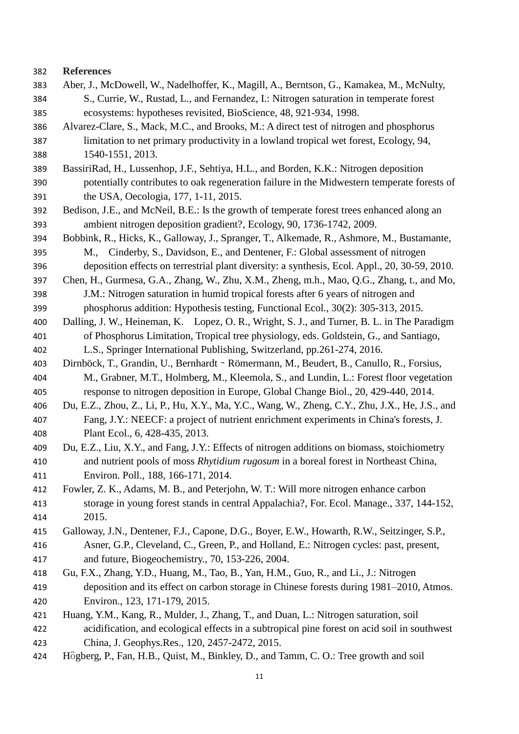#### **References**

- Aber, J., McDowell, W., Nadelhoffer, K., Magill, A., Berntson, G., Kamakea, M., McNulty, S., Currie, W., Rustad, L., and Fernandez, I.: Nitrogen saturation in temperate forest ecosystems: hypotheses revisited, BioScience, 48, 921-934, 1998.
- Alvarez-Clare, S., Mack, M.C., and Brooks, M.: A direct test of nitrogen and phosphorus limitation to net primary productivity in a lowland tropical wet forest, Ecology, 94, 1540-1551, 2013.
- BassiriRad, H., Lussenhop, J.F., Sehtiya, H.L., and Borden, K.K.: Nitrogen deposition potentially contributes to oak regeneration failure in the Midwestern temperate forests of the USA, Oecologia, 177, 1-11, 2015.
- Bedison, J.E., and McNeil, B.E.: Is the growth of temperate forest trees enhanced along an ambient nitrogen deposition gradient?, Ecology, 90, 1736-1742, 2009.
- Bobbink, R., Hicks, K., Galloway, J., Spranger, T., Alkemade, R., Ashmore, M., Bustamante,
- M., Cinderby, S., Davidson, E., and Dentener, F.: Global assessment of nitrogen deposition effects on terrestrial plant diversity: a synthesis, Ecol. Appl., 20, 30-59, 2010.
- Chen, H., Gurmesa, G.A., Zhang, W., Zhu, X.M., Zheng, m.h., Mao, Q.G., Zhang, t., and Mo, J.M.: Nitrogen saturation in humid tropical forests after 6 years of nitrogen and
- phosphorus addition: Hypothesis testing, Functional Ecol., 30(2): 305-313, 2015.
- Dalling, J. W., Heineman, K. Lopez, O. R., Wright, S. J., and Turner, B. L. in The Paradigm of Phosphorus Limitation, Tropical tree physiology, eds. Goldstein, G., and Santiago,
- L.S., Springer International Publishing, Switzerland, pp.261-274, 2016.
- Dirnböck, T., Grandin, U., Bernhardt‐Römermann, M., Beudert, B., Canullo, R., Forsius, M., Grabner, M.T., Holmberg, M., Kleemola, S., and Lundin, L.: Forest floor vegetation response to nitrogen deposition in Europe, Global Change Biol., 20, 429-440, 2014.
- Du, E.Z., Zhou, Z., Li, P., Hu, X.Y., Ma, Y.C., Wang, W., Zheng, C.Y., Zhu, J.X., He, J.S., and Fang, J.Y.: NEECF: a project of nutrient enrichment experiments in China's forests, J. Plant Ecol., 6, 428-435, 2013.
- Du, E.Z., Liu, X.Y., and Fang, J.Y.: Effects of nitrogen additions on biomass, stoichiometry and nutrient pools of moss *Rhytidium rugosum* in a boreal forest in Northeast China, Environ. Poll., 188, 166-171, 2014.
- Fowler, Z. K., Adams, M. B., and Peterjohn, W. T.: Will more nitrogen enhance carbon storage in young forest stands in central Appalachia?, For. Ecol. Manage., 337, 144-152, 2015.
- Galloway, J.N., Dentener, F.J., Capone, D.G., Boyer, E.W., Howarth, R.W., Seitzinger, S.P., Asner, G.P., Cleveland, C., Green, P., and Holland, E.: Nitrogen cycles: past, present, and future, Biogeochemistry., 70, 153-226, 2004.
- Gu, F.X., Zhang, Y.D., Huang, M., Tao, B., Yan, H.M., Guo, R., and Li., J.: Nitrogen deposition and its effect on carbon storage in Chinese forests during 1981–2010, Atmos. Environ., 123, 171-179, 2015.
- Huang, Y.M., Kang, R., Mulder, J., Zhang, T., and Duan, L.: Nitrogen saturation, soil acidification, and ecological effects in a subtropical pine forest on acid soil in southwest China, J. Geophys.Res., 120, 2457-2472, 2015.
- Högberg, P., Fan, H.B., Quist, M., Binkley, D., and Tamm, C. O.: Tree growth and soil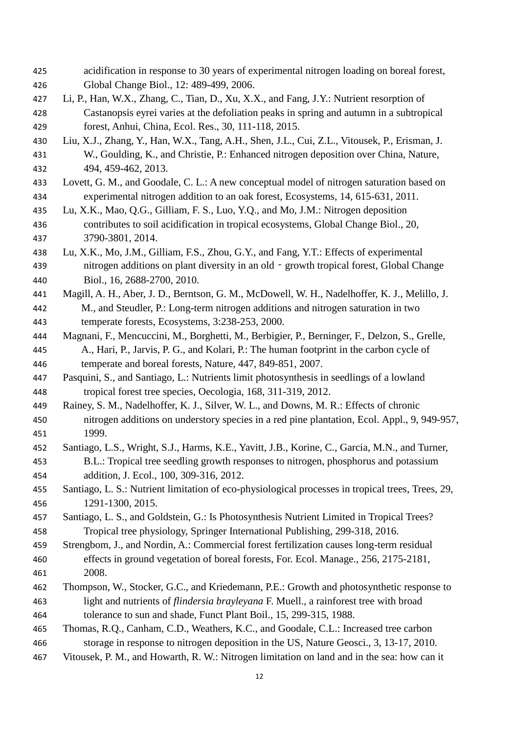acidification in response to 30 years of experimental nitrogen loading on boreal forest, Global Change Biol., 12: 489-499, 2006. Li, P., Han, W.X., Zhang, C., Tian, D., Xu, X.X., and Fang, J.Y.: Nutrient resorption of Castanopsis eyrei varies at the defoliation peaks in spring and autumn in a subtropical forest, Anhui, China, Ecol. Res., 30, 111-118, 2015. Liu, X.J., Zhang, Y., Han, W.X., Tang, A.H., Shen, J.L., Cui, Z.L., Vitousek, P., Erisman, J. W., Goulding, K., and Christie, P.: Enhanced nitrogen deposition over China, Nature, 494, 459-462, 2013. Lovett, G. M., and Goodale, C. L.: A new conceptual model of nitrogen saturation based on experimental nitrogen addition to an oak forest, Ecosystems, 14, 615-631, 2011. Lu, X.K., Mao, Q.G., Gilliam, F. S., Luo, Y.Q., and Mo, J.M.: Nitrogen deposition contributes to soil acidification in tropical ecosystems, Global Change Biol., 20, 3790-3801, 2014. Lu, X.K., Mo, J.M., Gilliam, F.S., Zhou, G.Y., and Fang, Y.T.: Effects of experimental nitrogen additions on plant diversity in an old‐growth tropical forest, Global Change Biol., 16, 2688-2700, 2010. Magill, A. H., Aber, J. D., Berntson, G. M., McDowell, W. H., Nadelhoffer, K. J., Melillo, J. M., and Steudler, P.: Long-term nitrogen additions and nitrogen saturation in two temperate forests, Ecosystems, 3:238-253, 2000. Magnani, F., Mencuccini, M., Borghetti, M., Berbigier, P., Berninger, F., Delzon, S., Grelle, A., Hari, P., Jarvis, P. G., and Kolari, P.: The human footprint in the carbon cycle of temperate and boreal forests, Nature, 447, 849-851, 2007. Pasquini, S., and Santiago, L.: Nutrients limit photosynthesis in seedlings of a lowland tropical forest tree species, Oecologia, 168, 311-319, 2012. Rainey, S. M., Nadelhoffer, K. J., Silver, W. L., and Downs, M. R.: Effects of chronic nitrogen additions on understory species in a red pine plantation, Ecol. Appl., 9, 949-957, 1999. Santiago, L.S., Wright, S.J., Harms, K.E., Yavitt, J.B., Korine, C., Garcia, M.N., and Turner, B.L.: Tropical tree seedling growth responses to nitrogen, phosphorus and potassium addition, J. Ecol., 100, 309-316, 2012. Santiago, L. S.: Nutrient limitation of eco-physiological processes in tropical trees, Trees, 29, 1291-1300, 2015. Santiago, L. S., and Goldstein, G.: Is Photosynthesis Nutrient Limited in Tropical Trees? Tropical tree physiology, Springer International Publishing, 299-318, 2016. Strengbom, J., and Nordin, A.: Commercial forest fertilization causes long-term residual effects in ground vegetation of boreal forests, For. Ecol. Manage., 256, 2175-2181, 2008. Thompson, W., Stocker, G.C., and Kriedemann, P.E.: Growth and photosynthetic response to light and nutrients of *flindersia brayleyana* F. Muell., a rainforest tree with broad tolerance to sun and shade, Funct Plant Boil., 15, 299-315, 1988. Thomas, R.Q., Canham, C.D., Weathers, K.C., and Goodale, C.L.: Increased tree carbon storage in response to nitrogen deposition in the US, Nature Geosci., 3, 13-17, 2010. Vitousek, P. M., and Howarth, R. W.: Nitrogen limitation on land and in the sea: how can it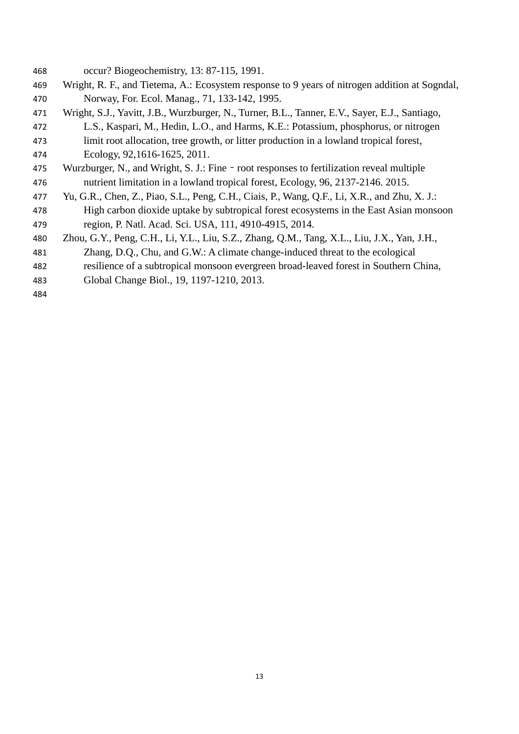- occur? Biogeochemistry, 13: 87-115, 1991.
- Wright, R. F., and Tietema, A.: Ecosystem response to 9 years of nitrogen addition at Sogndal, Norway, For. Ecol. Manag., 71, 133-142, 1995.
- Wright, S.J., Yavitt, J.B., Wurzburger, N., Turner, B.L., Tanner, E.V., Sayer, E.J., Santiago, L.S., Kaspari, M., Hedin, L.O., and Harms, K.E.: Potassium, phosphorus, or nitrogen limit root allocation, tree growth, or litter production in a lowland tropical forest,
- Ecology, 92,1616-1625, 2011.
- 475 Wurzburger, N., and Wright, S. J.: Fine root responses to fertilization reveal multiple nutrient limitation in a lowland tropical forest, Ecology, 96, 2137-2146. 2015.
- Yu, G.R., Chen, Z., Piao, S.L., Peng, C.H., Ciais, P., Wang, Q.F., Li, X.R., and Zhu, X. J.: High carbon dioxide uptake by subtropical forest ecosystems in the East Asian monsoon region, P. Natl. Acad. Sci. USA, 111, 4910-4915, 2014.
- Zhou, G.Y., Peng, C.H., Li, Y.L., Liu, S.Z., Zhang, Q.M., Tang, X.L., Liu, J.X., Yan, J.H.,
- Zhang, D.Q., Chu, and G.W.: A climate change-induced threat to the ecological
- resilience of a subtropical monsoon evergreen broad-leaved forest in Southern China,
- Global Change Biol., 19, 1197-1210, 2013.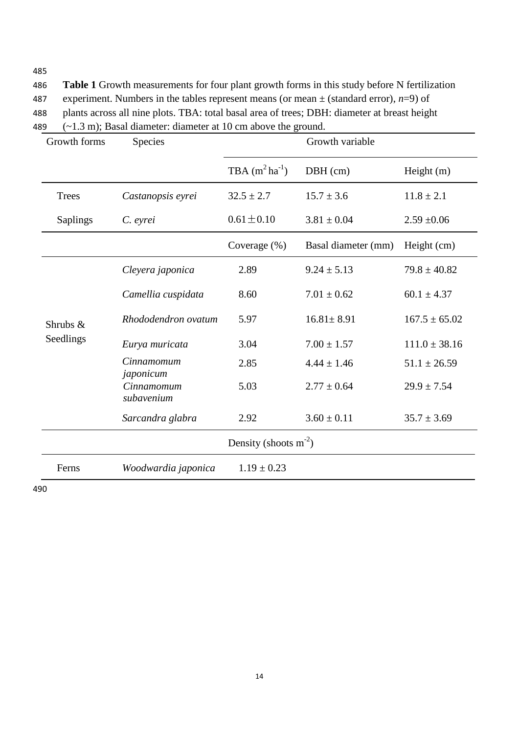486 **Table 1** Growth measurements for four plant growth forms in this study before N fertilization 487 experiment. Numbers in the tables represent means (or mean  $\pm$  (standard error), *n*=9) of 488 plants across all nine plots. TBA: total basal area of trees; DBH: diameter at breast height 489 (~1.3 m); Basal diameter: diameter at 10 cm above the ground.

| Growth forms             | <b>Species</b>           | Growth variable         |                     |                   |  |  |  |  |
|--------------------------|--------------------------|-------------------------|---------------------|-------------------|--|--|--|--|
|                          |                          | TBA $(m^2 ha^{-1})$     | $DBH$ (cm)          | Height $(m)$      |  |  |  |  |
| <b>Trees</b>             | Castanopsis eyrei        | $32.5 \pm 2.7$          | $15.7 \pm 3.6$      | $11.8 \pm 2.1$    |  |  |  |  |
| <b>Saplings</b>          | C. eyrei                 | $0.61 \pm 0.10$         | $3.81 \pm 0.04$     | $2.59 + 0.06$     |  |  |  |  |
|                          |                          | Coverage (%)            | Basal diameter (mm) | Height (cm)       |  |  |  |  |
| Shrubs $\&$<br>Seedlings | Cleyera japonica         | 2.89                    | $9.24 \pm 5.13$     | $79.8 \pm 40.82$  |  |  |  |  |
|                          | Camellia cuspidata       | 8.60                    | $7.01 \pm 0.62$     | 60.1 $\pm 4.37$   |  |  |  |  |
|                          | Rhododendron ovatum      | 5.97                    | $16.81 \pm 8.91$    | $167.5 \pm 65.02$ |  |  |  |  |
|                          | Eurya muricata           | 3.04                    | $7.00 \pm 1.57$     | $111.0 \pm 38.16$ |  |  |  |  |
|                          | Cinnamomum<br>japonicum  | 2.85<br>$4.44 \pm 1.46$ |                     | $51.1 \pm 26.59$  |  |  |  |  |
|                          | Cinnamomum<br>subavenium | 5.03                    | $2.77 \pm 0.64$     | $29.9 \pm 7.54$   |  |  |  |  |
|                          | Sarcandra glabra         | 2.92                    | $3.60 \pm 0.11$     | $35.7 \pm 3.69$   |  |  |  |  |
| Density (shoots $m-2$ )  |                          |                         |                     |                   |  |  |  |  |
| Ferns                    | Woodwardia japonica      | $1.19 \pm 0.23$         |                     |                   |  |  |  |  |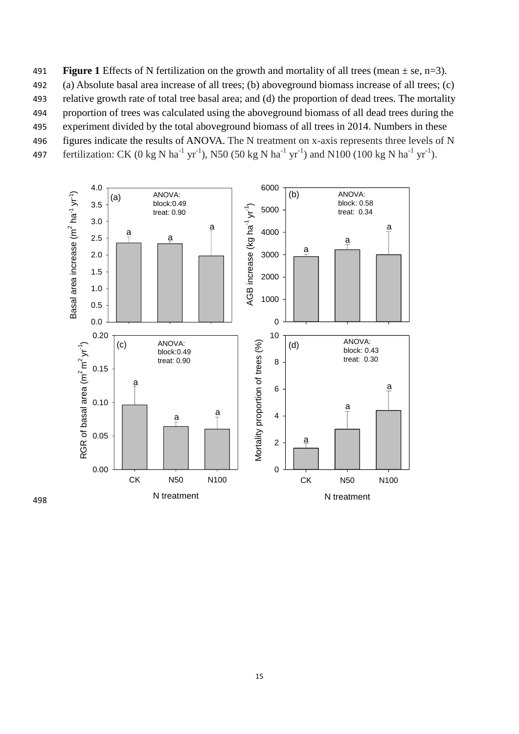491 **Figure 1** Effects of N fertilization on the growth and mortality of all trees (mean  $\pm$  se, n=3). 492 (a) Absolute basal area increase of all trees; (b) aboveground biomass increase of all trees; (c) 493 relative growth rate of total tree basal area; and (d) the proportion of dead trees. The mortality 494 proportion of trees was calculated using the aboveground biomass of all dead trees during the 495 experiment divided by the total aboveground biomass of all trees in 2014. Numbers in these 496 figures indicate the results of ANOVA. The N treatment on x-axis represents three levels of N



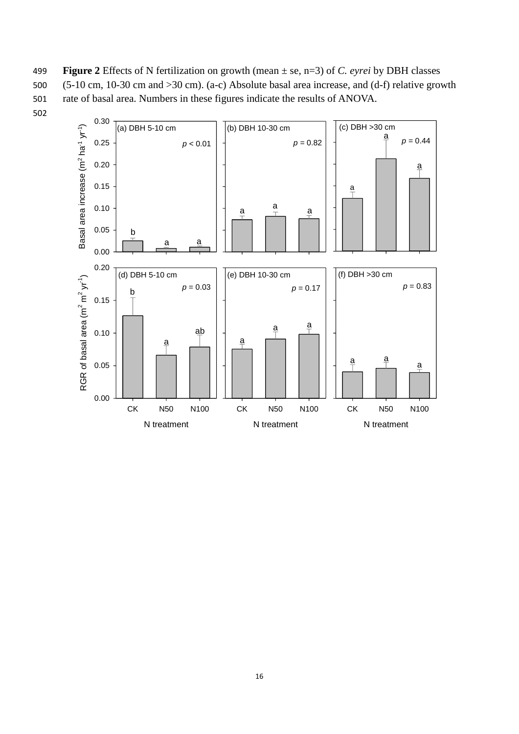499 **Figure 2** Effects of N fertilization on growth (mean ± se, n=3) of *C. eyrei* by DBH classes 500 (5-10 cm, 10-30 cm and >30 cm). (a-c) Absolute basal area increase, and (d-f) relative growth 501 rate of basal area. Numbers in these figures indicate the results of ANOVA.

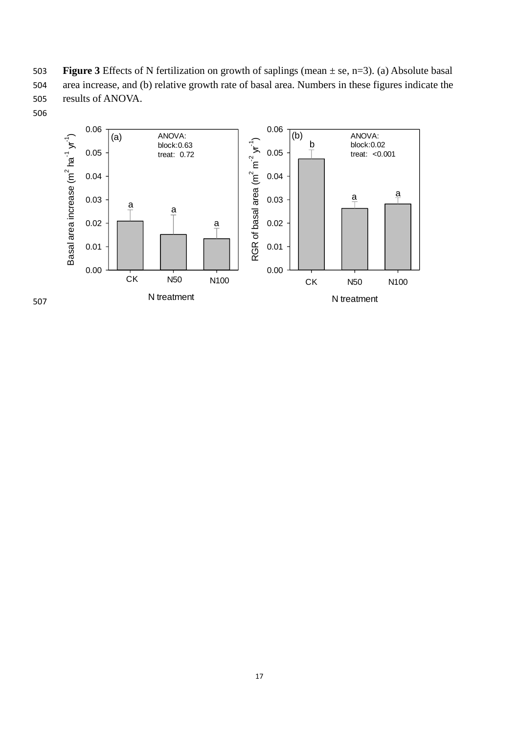503 **Figure 3** Effects of N fertilization on growth of saplings (mean ± se, n=3). (a) Absolute basal 504 area increase, and (b) relative growth rate of basal area. Numbers in these figures indicate the 505 results of ANOVA.





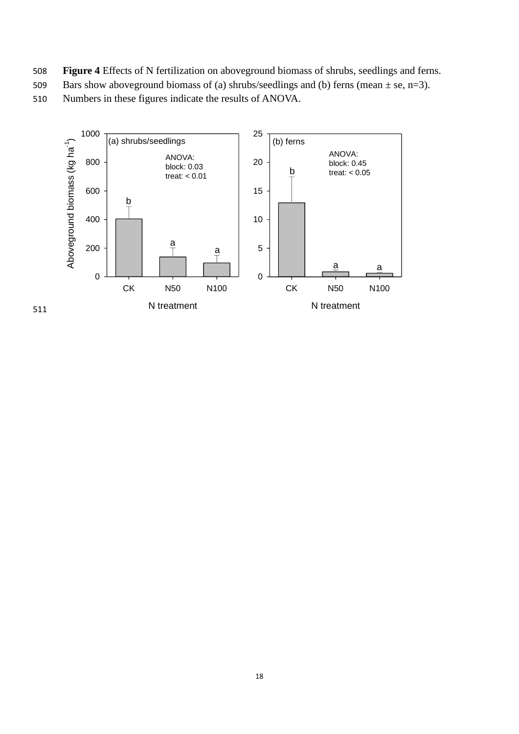- 508 **Figure 4** Effects of N fertilization on aboveground biomass of shrubs, seedlings and ferns.
- 509 Bars show above ground biomass of (a) shrubs/seedlings and (b) ferns (mean  $\pm$  se, n=3).

510 Numbers in these figures indicate the results of ANOVA.



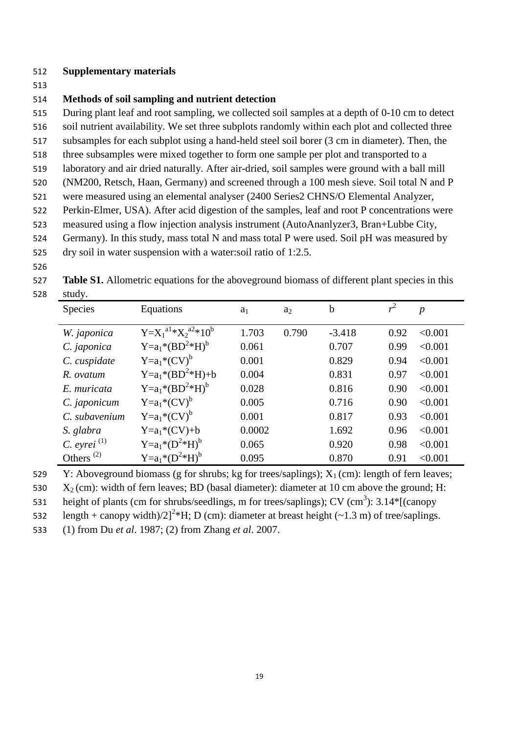#### 512 **Supplementary materials**

513

### 514 **Methods of soil sampling and nutrient detection**

515 During plant leaf and root sampling, we collected soil samples at a depth of 0-10 cm to detect 516 soil nutrient availability. We set three subplots randomly within each plot and collected three

517 subsamples for each subplot using a hand-held steel soil borer (3 cm in diameter). Then, the

- 518 three subsamples were mixed together to form one sample per plot and transported to a
- 519 laboratory and air dried naturally. After air-dried, soil samples were ground with a ball mill
- 520 (NM200, Retsch, Haan, Germany) and screened through a 100 mesh sieve. Soil total N and P
- 521 were measured using an elemental analyser (2400 Series2 CHNS/O Elemental Analyzer,
- 522 Perkin-Elmer, USA). After acid digestion of the samples, leaf and root P concentrations were
- 523 measured using a flow injection analysis instrument (AutoAnanlyzer3, Bran+Lubbe City,
- 524 Germany). In this study, mass total N and mass total P were used. Soil pH was measured by
- 525 dry soil in water suspension with a water:soil ratio of 1:2.5.
- 526

527 **Table S1.** Allometric equations for the aboveground biomass of different plant species in this 528 study.

| $\sim$ $\sim$ $\sim$ $\sim$ $\sim$<br>Species | Equations                              | a <sub>1</sub> | $a_2$ | $\mathbf b$ | $r^2$ | $\boldsymbol{p}$ |
|-----------------------------------------------|----------------------------------------|----------------|-------|-------------|-------|------------------|
| W. japonica                                   | $Y=X_1^{a1} * X_2^{a2} * 10^b$         | 1.703          | 0.790 | $-3.418$    | 0.92  | < 0.001          |
| C. japonica                                   | $Y=a_1* (BD^2*H)^b$                    | 0.061          |       | 0.707       | 0.99  | < 0.001          |
| C. cuspidate                                  | $Y=a_1$ <sup>*</sup> (CV) <sup>b</sup> | 0.001          |       | 0.829       | 0.94  | < 0.001          |
| R. ovatum                                     | $Y=a_1* (BD^2*H)+b$                    | 0.004          |       | 0.831       | 0.97  | < 0.001          |
| E. muricata                                   | $Y=a_1* (BD^2*H)^b$                    | 0.028          |       | 0.816       | 0.90  | < 0.001          |
| C. japonicum                                  | $Y=a_1* (CV)^b$                        | 0.005          |       | 0.716       | 0.90  | < 0.001          |
| C. subavenium                                 | $Y=a_1* (CV)^b$                        | 0.001          |       | 0.817       | 0.93  | < 0.001          |
| S. glabra                                     | $Y=a_1*(CV)+b$                         | 0.0002         |       | 1.692       | 0.96  | < 0.001          |
| C. eyrei $^{(1)}$                             | $Y=a_1*({D}^{2}*{H})^b$                | 0.065          |       | 0.920       | 0.98  | < 0.001          |
| Others <sup><math>(2)</math></sup>            | $Y=a_1*({D}^{2}*{H})^b$                | 0.095          |       | 0.870       | 0.91  | < 0.001          |

529 Y: Aboveground biomass (g for shrubs; kg for trees/saplings);  $X_1$  (cm): length of fern leaves;

530  $X_2$  (cm): width of fern leaves; BD (basal diameter): diameter at 10 cm above the ground; H:

531 height of plants (cm for shrubs/seedlings, m for trees/saplings); CV (cm<sup>3</sup>):  $3.14*$ [(canopy

532 length + canopy width)/2]<sup>2</sup>\*H; D (cm): diameter at breast height (~1.3 m) of tree/saplings.

533 (1) from Du *et al*. 1987; (2) from Zhang *et al*. 2007.